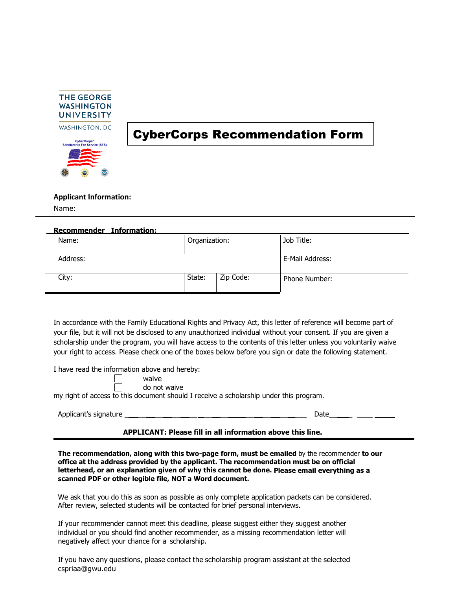

## CyberCorps Recommendation Form

**Applicant Information:**

Name:

| Recommender Information: |               |           |                      |
|--------------------------|---------------|-----------|----------------------|
| Name:                    | Organization: |           | Job Title:           |
| Address:                 |               |           | E-Mail Address:      |
| City:                    | State:        | Zip Code: | <b>Phone Number:</b> |

In accordance with the Family Educational Rights and Privacy Act, this letter of reference will become part of your file, but it will not be disclosed to any unauthorized individual without your consent. If you are given a scholarship under the program, you will have access to the contents of this letter unless you voluntarily waive your right to access. Please check one of the boxes below before you sign or date the following statement.

I have read the information above and hereby:

waive do not waive

 $\Box$ my right of access to this document should I receive a scholarship under this program.

Applicant's signature \_ \_\_ \_\_ \_\_ \_\_ \_\_ \_\_ \_\_ \_\_ \_\_ \_\_\_ Date\_\_ \_ \_\_\_\_

## **APPLICANT: Please fill in all information above this line.**

**The recommendation, along with this two-page form, must be emailed** by the recommender **to our office at the address provided by the applicant. The recommendation must be on official letterhead, or an explanation given of why this cannot be done. Please email everything as a scanned PDF or other legible file, NOT a Word document.** 

We ask that you do this as soon as possible as only complete application packets can be considered. After review, selected students will be contacted for brief personal interviews.

If your recommender cannot meet this deadline, please suggest either they suggest another individual or you should find another recommender, as a missing recommendation letter will negatively affect your chance for a scholarship.

If you have any questions, please contact the scholarship program assistant at the selected cspriaa@gwu.edu